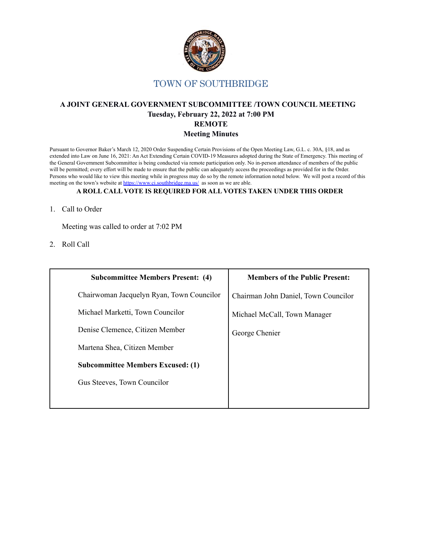

### **A JOINT GENERAL GOVERNMENT SUBCOMMITTEE /TOWN COUNCIL MEETING Tuesday, February 22, 2022 at 7:00 PM REMOTE Meeting Minutes**

Pursuant to Governor Baker's March 12, 2020 Order Suspending Certain Provisions of the Open Meeting Law, G.L. c. 30A, §18, and as extended into Law on June 16, 2021: An Act Extending Certain COVID-19 Measures adopted during the State of Emergency. This meeting of the General Government Subcommittee is being conducted via remote participation only. No in-person attendance of members of the public will be permitted; every effort will be made to ensure that the public can adequately access the proceedings as provided for in the Order. Persons who would like to view this meeting while in progress may do so by the remote information noted below. We will post a record of this meeting on the town's website at <https://www.ci.southbridge.ma.us/> as soon as we are able.

#### **A ROLL CALL VOTE IS REQUIRED FOR ALL VOTES TAKEN UNDER THIS ORDER**

1. Call to Order

Meeting was called to order at 7:02 PM

2. Roll Call

| <b>Subcommittee Members Present: (4)</b>  | <b>Members of the Public Present:</b> |
|-------------------------------------------|---------------------------------------|
| Chairwoman Jacquelyn Ryan, Town Councilor | Chairman John Daniel, Town Councilor  |
| Michael Marketti, Town Councilor          | Michael McCall, Town Manager          |
| Denise Clemence, Citizen Member           | George Chenier                        |
| Martena Shea, Citizen Member              |                                       |
| <b>Subcommittee Members Excused: (1)</b>  |                                       |
| Gus Steeves, Town Councilor               |                                       |
|                                           |                                       |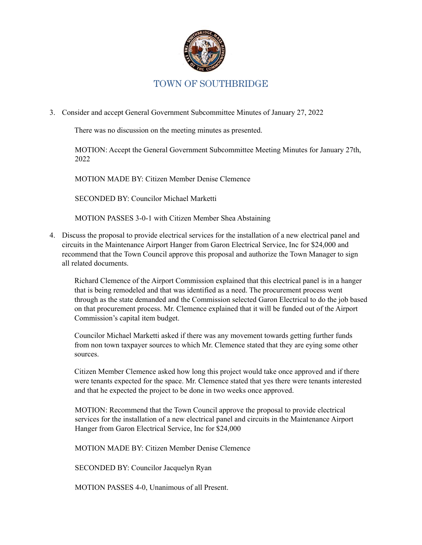

3. Consider and accept General Government Subcommittee Minutes of January 27, 2022

There was no discussion on the meeting minutes as presented.

MOTION: Accept the General Government Subcommittee Meeting Minutes for January 27th, 2022

MOTION MADE BY: Citizen Member Denise Clemence

SECONDED BY: Councilor Michael Marketti

MOTION PASSES 3-0-1 with Citizen Member Shea Abstaining

4. Discuss the proposal to provide electrical services for the installation of a new electrical panel and circuits in the Maintenance Airport Hanger from Garon Electrical Service, Inc for \$24,000 and recommend that the Town Council approve this proposal and authorize the Town Manager to sign all related documents.

Richard Clemence of the Airport Commission explained that this electrical panel is in a hanger that is being remodeled and that was identified as a need. The procurement process went through as the state demanded and the Commission selected Garon Electrical to do the job based on that procurement process. Mr. Clemence explained that it will be funded out of the Airport Commission's capital item budget.

Councilor Michael Marketti asked if there was any movement towards getting further funds from non town taxpayer sources to which Mr. Clemence stated that they are eying some other sources.

Citizen Member Clemence asked how long this project would take once approved and if there were tenants expected for the space. Mr. Clemence stated that yes there were tenants interested and that he expected the project to be done in two weeks once approved.

MOTION: Recommend that the Town Council approve the proposal to provide electrical services for the installation of a new electrical panel and circuits in the Maintenance Airport Hanger from Garon Electrical Service, Inc for \$24,000

MOTION MADE BY: Citizen Member Denise Clemence

SECONDED BY: Councilor Jacquelyn Ryan

MOTION PASSES 4-0, Unanimous of all Present.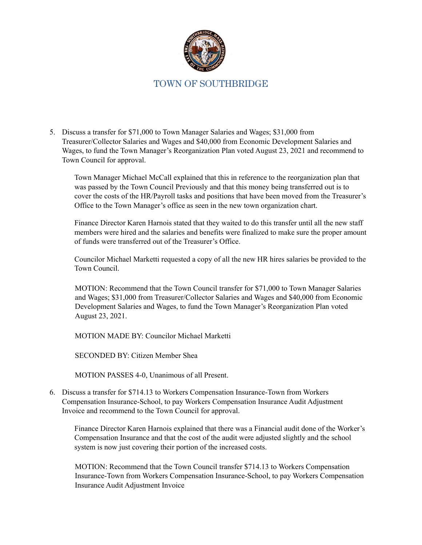

5. Discuss a transfer for \$71,000 to Town Manager Salaries and Wages; \$31,000 from Treasurer/Collector Salaries and Wages and \$40,000 from Economic Development Salaries and Wages, to fund the Town Manager's Reorganization Plan voted August 23, 2021 and recommend to Town Council for approval.

Town Manager Michael McCall explained that this in reference to the reorganization plan that was passed by the Town Council Previously and that this money being transferred out is to cover the costs of the HR/Payroll tasks and positions that have been moved from the Treasurer's Office to the Town Manager's office as seen in the new town organization chart.

Finance Director Karen Harnois stated that they waited to do this transfer until all the new staff members were hired and the salaries and benefits were finalized to make sure the proper amount of funds were transferred out of the Treasurer's Office.

Councilor Michael Marketti requested a copy of all the new HR hires salaries be provided to the Town Council.

MOTION: Recommend that the Town Council transfer for \$71,000 to Town Manager Salaries and Wages; \$31,000 from Treasurer/Collector Salaries and Wages and \$40,000 from Economic Development Salaries and Wages, to fund the Town Manager's Reorganization Plan voted August 23, 2021.

MOTION MADE BY: Councilor Michael Marketti

SECONDED BY: Citizen Member Shea

MOTION PASSES 4-0, Unanimous of all Present.

6. Discuss a transfer for \$714.13 to Workers Compensation Insurance-Town from Workers Compensation Insurance-School, to pay Workers Compensation Insurance Audit Adjustment Invoice and recommend to the Town Council for approval.

Finance Director Karen Harnois explained that there was a Financial audit done of the Worker's Compensation Insurance and that the cost of the audit were adjusted slightly and the school system is now just covering their portion of the increased costs.

MOTION: Recommend that the Town Council transfer \$714.13 to Workers Compensation Insurance-Town from Workers Compensation Insurance-School, to pay Workers Compensation Insurance Audit Adjustment Invoice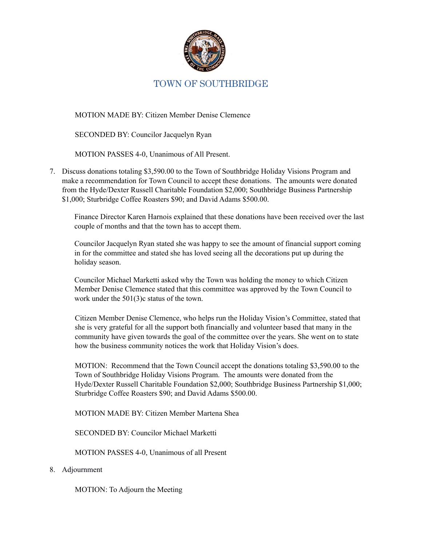

MOTION MADE BY: Citizen Member Denise Clemence

SECONDED BY: Councilor Jacquelyn Ryan

MOTION PASSES 4-0, Unanimous of All Present.

7. Discuss donations totaling \$3,590.00 to the Town of Southbridge Holiday Visions Program and make a recommendation for Town Council to accept these donations. The amounts were donated from the Hyde/Dexter Russell Charitable Foundation \$2,000; Southbridge Business Partnership \$1,000; Sturbridge Coffee Roasters \$90; and David Adams \$500.00.

Finance Director Karen Harnois explained that these donations have been received over the last couple of months and that the town has to accept them.

Councilor Jacquelyn Ryan stated she was happy to see the amount of financial support coming in for the committee and stated she has loved seeing all the decorations put up during the holiday season.

Councilor Michael Marketti asked why the Town was holding the money to which Citizen Member Denise Clemence stated that this committee was approved by the Town Council to work under the 501(3)c status of the town.

Citizen Member Denise Clemence, who helps run the Holiday Vision's Committee, stated that she is very grateful for all the support both financially and volunteer based that many in the community have given towards the goal of the committee over the years. She went on to state how the business community notices the work that Holiday Vision's does.

MOTION: Recommend that the Town Council accept the donations totaling \$3,590.00 to the Town of Southbridge Holiday Visions Program. The amounts were donated from the Hyde/Dexter Russell Charitable Foundation \$2,000; Southbridge Business Partnership \$1,000; Sturbridge Coffee Roasters \$90; and David Adams \$500.00.

MOTION MADE BY: Citizen Member Martena Shea

SECONDED BY: Councilor Michael Marketti

MOTION PASSES 4-0, Unanimous of all Present

#### 8. Adjournment

MOTION: To Adjourn the Meeting